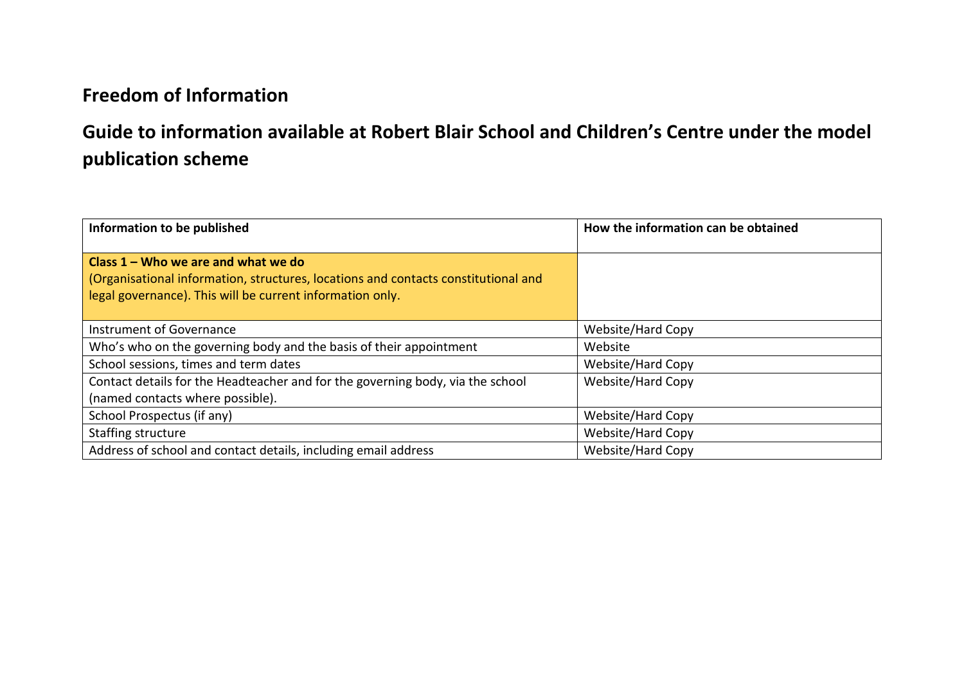## **Freedom of Information**

## **Guide to information available at Robert Blair School and Children's Centre under the model publication scheme**

| Information to be published                                                                                                                                                              | How the information can be obtained |
|------------------------------------------------------------------------------------------------------------------------------------------------------------------------------------------|-------------------------------------|
| Class $1 -$ Who we are and what we do<br>(Organisational information, structures, locations and contacts constitutional and<br>legal governance). This will be current information only. |                                     |
| Instrument of Governance                                                                                                                                                                 | Website/Hard Copy                   |
| Who's who on the governing body and the basis of their appointment                                                                                                                       | Website                             |
| School sessions, times and term dates                                                                                                                                                    | Website/Hard Copy                   |
| Contact details for the Headteacher and for the governing body, via the school                                                                                                           | Website/Hard Copy                   |
| (named contacts where possible).                                                                                                                                                         |                                     |
| School Prospectus (if any)                                                                                                                                                               | Website/Hard Copy                   |
| Staffing structure                                                                                                                                                                       | Website/Hard Copy                   |
| Address of school and contact details, including email address                                                                                                                           | <b>Website/Hard Copy</b>            |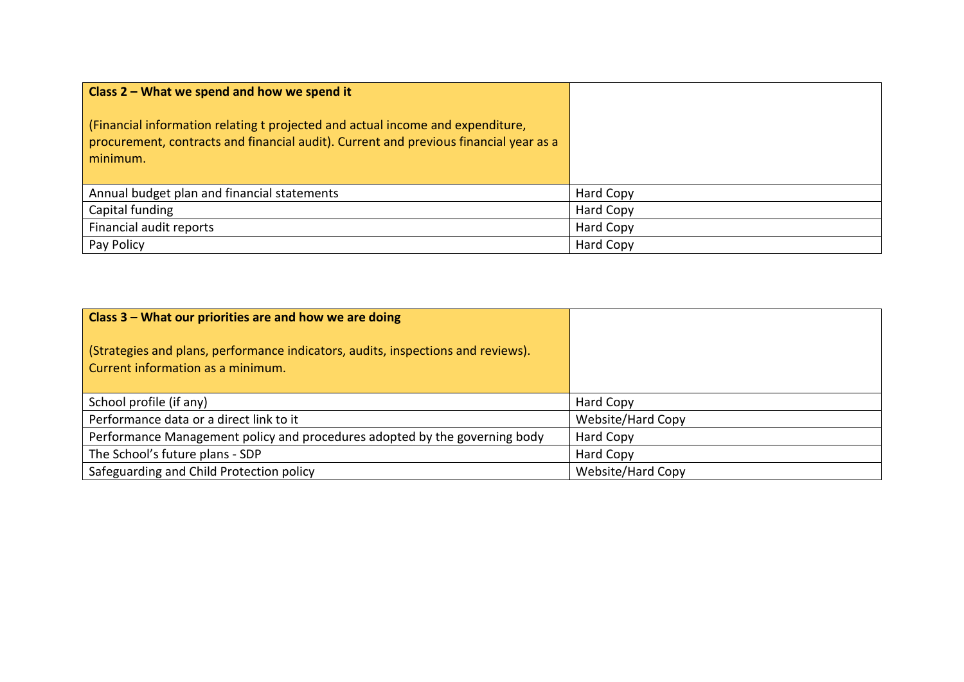| Class $2$ – What we spend and how we spend it                                                                                                                                       |           |
|-------------------------------------------------------------------------------------------------------------------------------------------------------------------------------------|-----------|
| (Financial information relating t projected and actual income and expenditure,<br>procurement, contracts and financial audit). Current and previous financial year as a<br>minimum. |           |
| Annual budget plan and financial statements                                                                                                                                         | Hard Copy |
| Capital funding                                                                                                                                                                     | Hard Copy |
| Financial audit reports                                                                                                                                                             | Hard Copy |
| Pay Policy                                                                                                                                                                          | Hard Copy |

| Class 3 – What our priorities are and how we are doing                                                                |                   |
|-----------------------------------------------------------------------------------------------------------------------|-------------------|
| (Strategies and plans, performance indicators, audits, inspections and reviews).<br>Current information as a minimum. |                   |
| School profile (if any)                                                                                               | Hard Copy         |
| Performance data or a direct link to it                                                                               | Website/Hard Copy |
| Performance Management policy and procedures adopted by the governing body                                            | Hard Copy         |
| The School's future plans - SDP                                                                                       | Hard Copy         |
| Safeguarding and Child Protection policy                                                                              | Website/Hard Copy |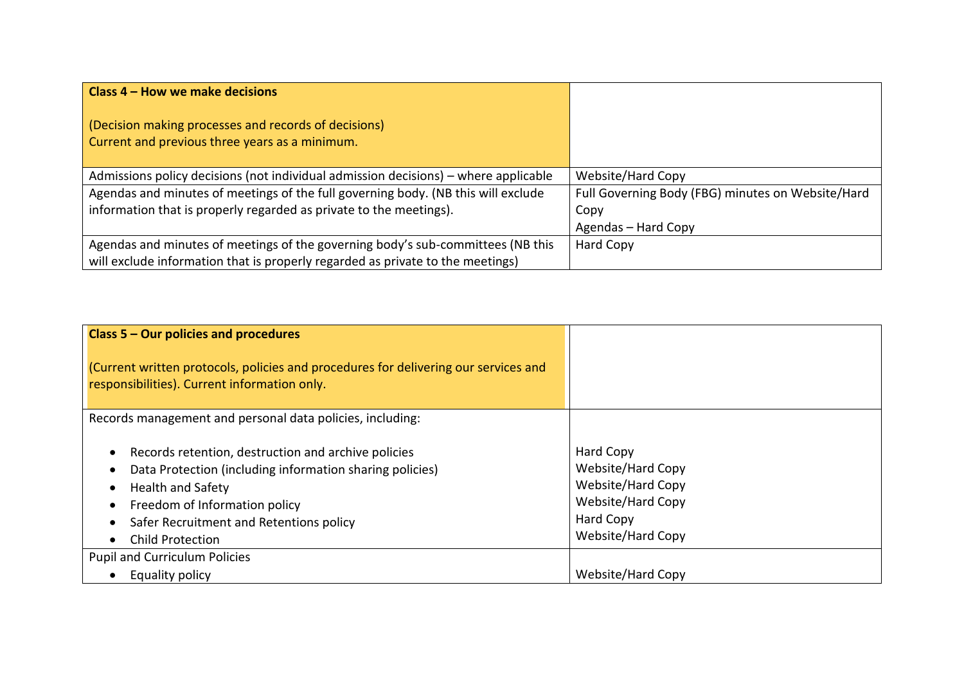| Class 4 – How we make decisions                                                                        |                                                   |
|--------------------------------------------------------------------------------------------------------|---------------------------------------------------|
| (Decision making processes and records of decisions)<br>Current and previous three years as a minimum. |                                                   |
| Admissions policy decisions (not individual admission decisions) – where applicable                    | Website/Hard Copy                                 |
| Agendas and minutes of meetings of the full governing body. (NB this will exclude                      | Full Governing Body (FBG) minutes on Website/Hard |
| information that is properly regarded as private to the meetings).                                     | Copy                                              |
|                                                                                                        | Agendas – Hard Copy                               |
| Agendas and minutes of meetings of the governing body's sub-committees (NB this                        | Hard Copy                                         |
| will exclude information that is properly regarded as private to the meetings)                         |                                                   |

| Class 5 – Our policies and procedures                                                                                                                                                                                                              |                                                                                                                          |
|----------------------------------------------------------------------------------------------------------------------------------------------------------------------------------------------------------------------------------------------------|--------------------------------------------------------------------------------------------------------------------------|
| (Current written protocols, policies and procedures for delivering our services and<br>responsibilities). Current information only.                                                                                                                |                                                                                                                          |
| Records management and personal data policies, including:                                                                                                                                                                                          |                                                                                                                          |
| Records retention, destruction and archive policies<br>Data Protection (including information sharing policies)<br><b>Health and Safety</b><br>Freedom of Information policy<br>Safer Recruitment and Retentions policy<br><b>Child Protection</b> | Hard Copy<br>Website/Hard Copy<br>Website/Hard Copy<br><b>Website/Hard Copy</b><br><b>Hard Copy</b><br>Website/Hard Copy |
| <b>Pupil and Curriculum Policies</b>                                                                                                                                                                                                               |                                                                                                                          |
| Equality policy                                                                                                                                                                                                                                    | Website/Hard Copy                                                                                                        |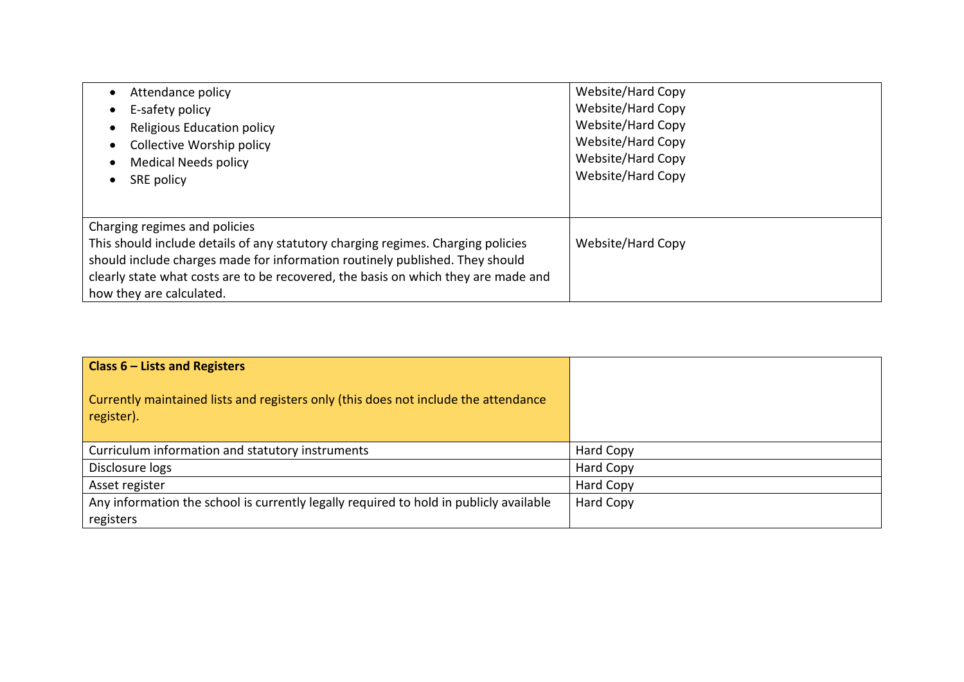| Attendance policy                                                                                                                                                | Website/Hard Copy                                                                |
|------------------------------------------------------------------------------------------------------------------------------------------------------------------|----------------------------------------------------------------------------------|
| E-safety policy                                                                                                                                                  | Website/Hard Copy                                                                |
| <b>Religious Education policy</b><br>Collective Worship policy<br><b>Medical Needs policy</b><br>SRE policy                                                      | Website/Hard Copy<br>Website/Hard Copy<br>Website/Hard Copy<br>Website/Hard Copy |
|                                                                                                                                                                  |                                                                                  |
| Charging regimes and policies                                                                                                                                    |                                                                                  |
| This should include details of any statutory charging regimes. Charging policies<br>should include charges made for information routinely published. They should | Website/Hard Copy                                                                |
| clearly state what costs are to be recovered, the basis on which they are made and                                                                               |                                                                                  |
| how they are calculated.                                                                                                                                         |                                                                                  |

| <b>Class <math>6</math> – Lists and Registers</b>                                                 |           |
|---------------------------------------------------------------------------------------------------|-----------|
| Currently maintained lists and registers only (this does not include the attendance<br>register). |           |
| Curriculum information and statutory instruments                                                  | Hard Copy |
| Disclosure logs                                                                                   | Hard Copy |
| Asset register                                                                                    | Hard Copy |
| Any information the school is currently legally required to hold in publicly available            | Hard Copy |
| registers                                                                                         |           |